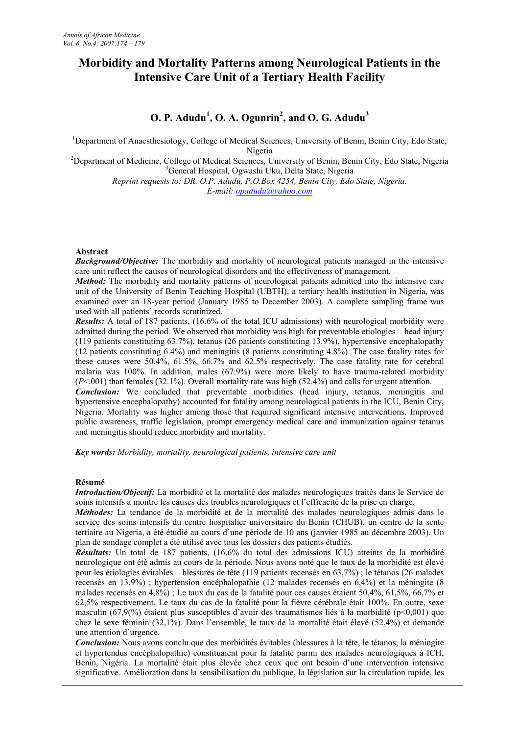# **Morbidity and Mortality Patterns among Neurological Patients in the Intensive Care Unit of a Tertiary Health Facility**

## **O. P. Adudu<sup>1</sup> , O. A. Ogunrin<sup>2</sup> , and O. G. Adudu<sup>3</sup>**

<sup>1</sup>Department of Anaesthesiology, College of Medical Sciences, University of Benin, Benin City, Edo State, Nigeria

<sup>2</sup>Department of Medicine, College of Medical Sciences, University of Benin, Benin City, Edo State, Nigeria <sup>3</sup>General Hospital, Ogwashi Uku, Delta State, Nigeria

*Reprint requests to: DR. O.P. Adudu, P.O.Box 4254, Benin City, Edo State, Nigeria. E-mail: opadudu@yahoo.com*

## **Abstract**

*Background/Objective:* The morbidity and mortality of neurological patients managed in the intensive care unit reflect the causes of neurological disorders and the effectiveness of management.

*Method:* The morbidity and mortality patterns of neurological patients admitted into the intensive care unit of the University of Benin Teaching Hospital (UBTH), a tertiary health institution in Nigeria, was examined over an 18-year period (January 1985 to December 2003). A complete sampling frame was used with all patients' records scrutinized.

*Results:* A total of 187 patients, (16.6% of the total ICU admissions) with neurological morbidity were admitted during the period. We observed that morbidity was high for preventable etiologies – head injury (119 patients constituting 63.7%), tetanus (26 patients constituting 13.9%), hypertensive encephalopathy (12 patients constituting 6.4%) and meningitis (8 patients constituting 4.8%). The case fatality rates for these causes were 50.4%, 61.5%, 66.7% and 62.5% respectively. The case fatality rate for cerebral malaria was 100%. In addition, males (67.9%) were more likely to have trauma-related morbidity (*P*<.001) than females (32.1%). Overall mortality rate was high (52.4%) and calls for urgent attention. *Conclusion:* We concluded that preventable morbidities (head injury, tetanus, meningitis and hypertensive encephalopathy) accounted for fatality among neurological patients in the ICU, Benin City, Nigeria. Mortality was higher among those that required significant intensive interventions. Improved

public awareness, traffic legislation, prompt emergency medical care and immunization against tetanus

*Key words: Morbidity, mortality, neurological patients, intensive care unit*

and meningitis should reduce morbidity and mortality.

### **Résumé**

*Introduction/Objectif:* La morbidité et la mortalité des malades neurologiques traités dans le Service de soins intensifs a montré les causes des troubles neurologiques et l'efficacité de la prise en charge.

*Méthodes:* La tendance de la morbidité et de la mortalité des malades neurologiques admis dans le service des soins intensifs du centre hospitalier universitaire du Benin (CHUB), un centre de la sente tertiaire au Nigeria, a été étudié au cours d'une période de 10 ans (janvier 1985 au décembre 2003). Un plan de sondage complet a été utilisé avec tous les dossiers des patients étudiés.

*Résultats:* Un total de 187 patients, (16,6% du total des admissions ICU) atteints de la morbidité neurologique ont été admis au cours de la période. Nous avons noté que le taux de la morbidité est élevé pour les étiologies évitables – blessures de tête (119 patients recensés en 63,7%) ; le tétanos (26 malades recensés en 13,9%) ; hypertension encéphalopathie (12 malades recensés en 6,4%) et la méningite (8 malades recensés en 4,8%) ; Le taux du cas de la fatalité pour ces causes étaient 50,4%, 61,5%, 66,7% et 62,5% respectivement. Le taux du cas de la fatalité pour la fièvre cérébrale était 100%. En outre, sexe masculin (67,9(%) étaient plus susceptibles d'avoir des traumatismes liés à la morbidité (p<0,001) que chez le sexe féminin (32,1%). Dans l'ensemble, le taux de la mortalité était élevé (52,4%) et demande une attention d'urgence.

*Conclusion:* Nous avons conclu que des morbidités évitables (blessures à la tête, le tétanos, la méningite et hypertendus encéphalopathie) constituaient pour la fatalité parmi des malades neurologiques à ICH, Benin, Nigéria. La mortalité était plus élevée chez ceux que ont besoin d'une intervention intensive significative. Amélioration dans la sensibilisation du publique, la législation sur la circulation rapide, les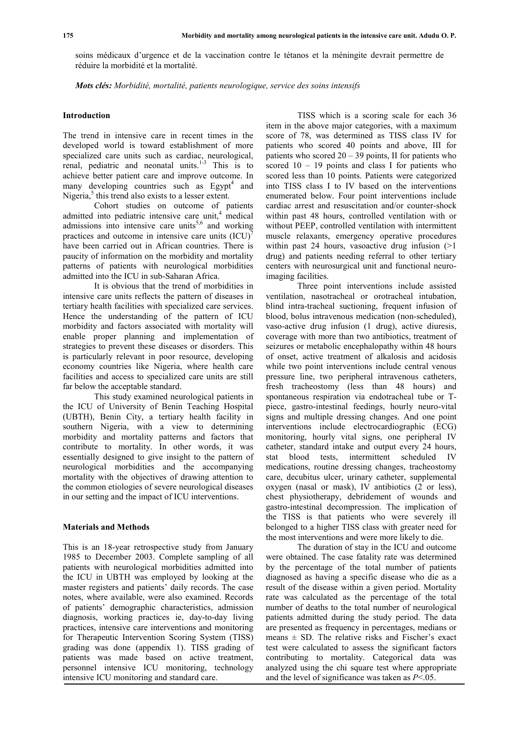soins médicaux d'urgence et de la vaccination contre le tétanos et la méningite devrait permettre de réduire la morbidité et la mortalité.

*Mots clés: Morbidité, mortalité, patients neurologique, service des soins intensifs*

#### **Introduction**

The trend in intensive care in recent times in the developed world is toward establishment of more specialized care units such as cardiac, neurological, renal, pediatric and neonatal units.<sup>1-3</sup> This is to achieve better patient care and improve outcome. In many developing countries such as Egypt<sup>4</sup> and Nigeria,<sup>5</sup> this trend also exists to a lesser extent.

Cohort studies on outcome of patients admitted into pediatric intensive care unit, $4$  medical admissions into intensive care units<sup>5,6</sup> and working practices and outcome in intensive care units  $(ICU)^7$ have been carried out in African countries. There is paucity of information on the morbidity and mortality patterns of patients with neurological morbidities admitted into the ICU in sub-Saharan Africa.

It is obvious that the trend of morbidities in intensive care units reflects the pattern of diseases in tertiary health facilities with specialized care services. Hence the understanding of the pattern of ICU morbidity and factors associated with mortality will enable proper planning and implementation of strategies to prevent these diseases or disorders. This is particularly relevant in poor resource, developing economy countries like Nigeria, where health care facilities and access to specialized care units are still far below the acceptable standard.

This study examined neurological patients in the ICU of University of Benin Teaching Hospital (UBTH), Benin City, a tertiary health facility in southern Nigeria, with a view to determining morbidity and mortality patterns and factors that contribute to mortality. In other words, it was essentially designed to give insight to the pattern of neurological morbidities and the accompanying mortality with the objectives of drawing attention to the common etiologies of severe neurological diseases in our setting and the impact of ICU interventions.

#### **Materials and Methods**

This is an 18-year retrospective study from January 1985 to December 2003. Complete sampling of all patients with neurological morbidities admitted into the ICU in UBTH was employed by looking at the master registers and patients' daily records. The case notes, where available, were also examined. Records of patients' demographic characteristics, admission diagnosis, working practices ie, day-to-day living practices, intensive care interventions and monitoring for Therapeutic Intervention Scoring System (TISS) grading was done (appendix 1). TISS grading of patients was made based on active treatment, personnel intensive ICU monitoring, technology intensive ICU monitoring and standard care.

TISS which is a scoring scale for each 36 item in the above major categories, with a maximum score of 78, was determined as TISS class IV for patients who scored 40 points and above, III for patients who scored  $20 - 39$  points, II for patients who scored  $10 - 19$  points and class I for patients who scored less than 10 points. Patients were categorized into TISS class I to IV based on the interventions enumerated below. Four point interventions include cardiac arrest and resuscitation and/or counter-shock within past 48 hours, controlled ventilation with or without PEEP, controlled ventilation with intermittent muscle relaxants, emergency operative procedures within past 24 hours, vasoactive drug infusion  $(>1)$ drug) and patients needing referral to other tertiary centers with neurosurgical unit and functional neuroimaging facilities.

Three point interventions include assisted ventilation, nasotracheal or orotracheal intubation, blind intra-tracheal suctioning, frequent infusion of blood, bolus intravenous medication (non-scheduled), vaso-active drug infusion (1 drug), active diuresis, coverage with more than two antibiotics, treatment of seizures or metabolic encephalopathy within 48 hours of onset, active treatment of alkalosis and acidosis while two point interventions include central venous pressure line, two peripheral intravenous catheters, fresh tracheostomy (less than 48 hours) and spontaneous respiration via endotracheal tube or Tpiece, gastro-intestinal feedings, hourly neuro-vital signs and multiple dressing changes. And one point interventions include electrocardiographic (ECG) monitoring, hourly vital signs, one peripheral IV catheter, standard intake and output every 24 hours, blood tests, intermittent scheduled IV medications, routine dressing changes, tracheostomy care, decubitus ulcer, urinary catheter, supplemental oxygen (nasal or mask), IV antibiotics (2 or less), chest physiotherapy, debridement of wounds and gastro-intestinal decompression. The implication of the TISS is that patients who were severely ill belonged to a higher TISS class with greater need for the most interventions and were more likely to die.

The duration of stay in the ICU and outcome were obtained. The case fatality rate was determined by the percentage of the total number of patients diagnosed as having a specific disease who die as a result of the disease within a given period. Mortality rate was calculated as the percentage of the total number of deaths to the total number of neurological patients admitted during the study period. The data are presented as frequency in percentages, medians or means  $\pm$  SD. The relative risks and Fischer's exact test were calculated to assess the significant factors contributing to mortality. Categorical data was analyzed using the chi square test where appropriate and the level of significance was taken as *P*<.05.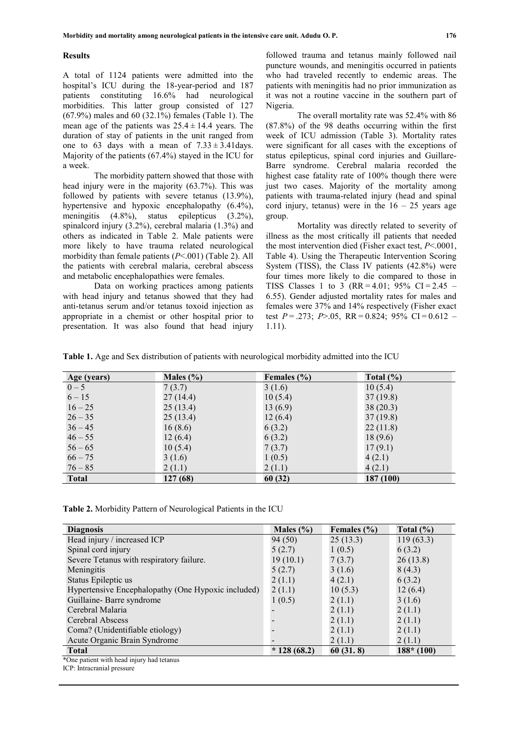#### **Results**

A total of 1124 patients were admitted into the hospital's ICU during the 18-year-period and 187 patients constituting 16.6% had neurological morbidities. This latter group consisted of 127 (67.9%) males and 60 (32.1%) females (Table 1). The mean age of the patients was  $25.4 \pm 14.4$  years. The duration of stay of patients in the unit ranged from one to 63 days with a mean of  $7.33 \pm 3.41$  days. Majority of the patients (67.4%) stayed in the ICU for a week.

The morbidity pattern showed that those with head injury were in the majority (63.7%). This was followed by patients with severe tetanus (13.9%), hypertensive and hypoxic encephalopathy  $(6.4\%)$ , meningitis (4.8%), status epilepticus (3.2%), spinalcord injury (3.2%), cerebral malaria (1.3%) and others as indicated in Table 2. Male patients were more likely to have trauma related neurological morbidity than female patients (*P*<.001) (Table 2). All the patients with cerebral malaria, cerebral abscess and metabolic encephalopathies were females.

Data on working practices among patients with head injury and tetanus showed that they had anti-tetanus serum and/or tetanus toxoid injection as appropriate in a chemist or other hospital prior to presentation. It was also found that head injury

followed trauma and tetanus mainly followed nail puncture wounds, and meningitis occurred in patients who had traveled recently to endemic areas. The patients with meningitis had no prior immunization as it was not a routine vaccine in the southern part of Nigeria.

The overall mortality rate was 52.4% with 86 (87.8%) of the 98 deaths occurring within the first week of ICU admission (Table 3). Mortality rates were significant for all cases with the exceptions of status epilepticus, spinal cord injuries and Guillare-Barre syndrome. Cerebral malaria recorded the highest case fatality rate of 100% though there were just two cases. Majority of the mortality among patients with trauma-related injury (head and spinal cord injury, tetanus) were in the  $16 - 25$  years age group.

Mortality was directly related to severity of illness as the most critically ill patients that needed the most intervention died (Fisher exact test, *P*<.0001, Table 4). Using the Therapeutic Intervention Scoring System (TISS), the Class IV patients (42.8%) were four times more likely to die compared to those in TISS Classes 1 to 3 (RR = 4.01; 95% CI = 2.45 – 6.55). Gender adjusted mortality rates for males and females were 37% and 14% respectively (Fisher exact test  $P = 0.273$ ;  $P > 0.05$ ,  $RR = 0.824$ ;  $95\%$  CI = 0.612 – 1.11).

**Table 1.** Age and Sex distribution of patients with neurological morbidity admitted into the ICU

| Age (years)  | Males $(\% )$ | Females $(\% )$ | Total $(\% )$ |
|--------------|---------------|-----------------|---------------|
| $0 - 5$      | 7(3.7)        | 3(1.6)          | 10(5.4)       |
| $6 - 15$     | 27(14.4)      | 10(5.4)         | 37(19.8)      |
| $16 - 25$    | 25(13.4)      | 13(6.9)         | 38(20.3)      |
| $26 - 35$    | 25(13.4)      | 12(6.4)         | 37(19.8)      |
| $36 - 45$    | 16(8.6)       | 6(3.2)          | 22(11.8)      |
| $46 - 55$    | 12(6.4)       | 6(3.2)          | 18(9.6)       |
| $56 - 65$    | 10(5.4)       | 7(3.7)          | 17(9.1)       |
| $66 - 75$    | 3(1.6)        | 1(0.5)          | 4(2.1)        |
| $76 - 85$    | 2(1.1)        | 2(1.1)          | 4(2.1)        |
| <b>Total</b> | 127 (68)      | 60(32)          | 187 (100)     |

**Table 2.** Morbidity Pattern of Neurological Patients in the ICU

| <b>Diagnosis</b>                                   | Males $(\% )$ | Females $(\% )$ | Total $(\% )$ |
|----------------------------------------------------|---------------|-----------------|---------------|
| Head injury / increased ICP                        | 94(50)        | 25(13.3)        | 119(63.3)     |
| Spinal cord injury                                 | 5(2.7)        | 1(0.5)          | 6(3.2)        |
| Severe Tetanus with respiratory failure.           | 19(10.1)      | 7(3.7)          | 26(13.8)      |
| Meningitis                                         | 5(2.7)        | 3(1.6)          | 8(4.3)        |
| Status Epileptic us                                | 2(1.1)        | 4(2.1)          | 6(3.2)        |
| Hypertensive Encephalopathy (One Hypoxic included) | 2(1.1)        | 10(5.3)         | 12(6.4)       |
| Guillaine-Barre syndrome                           | 1(0.5)        | 2(1.1)          | 3(1.6)        |
| Cerebral Malaria                                   |               | 2(1.1)          | 2(1.1)        |
| Cerebral Abscess                                   |               | 2(1.1)          | 2(1.1)        |
| Coma? (Unidentifiable etiology)                    |               | 2(1.1)          | 2(1.1)        |
| Acute Organic Brain Syndrome                       |               | 2(1.1)          | 2(1.1)        |
| <b>Total</b>                                       | $*128(68.2)$  | 60(31.8)        | $188* (100)$  |
| *One patient with head injury had tetanus          |               |                 |               |

ICP: Intracranial pressure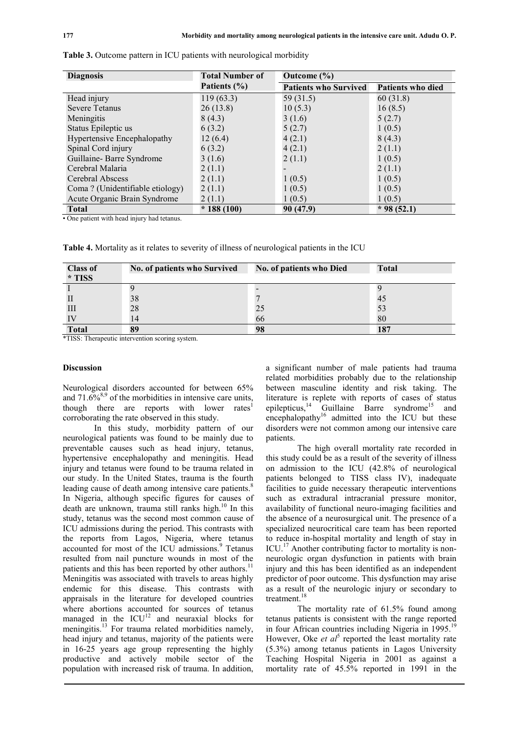| <b>Diagnosis</b>                 | <b>Total Number of</b> | Outcome $(\% )$              |                          |
|----------------------------------|------------------------|------------------------------|--------------------------|
|                                  | Patients $(\% )$       | <b>Patients who Survived</b> | <b>Patients who died</b> |
| Head injury                      | 119(63.3)              | 59 (31.5)                    | 60 (31.8)                |
| <b>Severe Tetanus</b>            | 26(13.8)               | 10(5.3)                      | 16(8.5)                  |
| Meningitis                       | 8(4.3)                 | 3(1.6)                       | 5(2.7)                   |
| Status Epileptic us              | 6(3.2)                 | 5(2.7)                       | 1(0.5)                   |
| Hypertensive Encephalopathy      | 12(6.4)                | 4(2.1)                       | 8(4.3)                   |
| Spinal Cord injury               | 6(3.2)                 | 4(2.1)                       | 2(1.1)                   |
| Guillaine-Barre Syndrome         | 3(1.6)                 | 2(1.1)                       | 1(0.5)                   |
| Cerebral Malaria                 | 2(1.1)                 |                              | 2(1.1)                   |
| Cerebral Abscess                 | 2(1.1)                 | 1(0.5)                       | 1(0.5)                   |
| Coma ? (Unidentifiable etiology) | 2(1.1)                 | 1(0.5)                       | 1(0.5)                   |
| Acute Organic Brain Syndrome     | 2(1.1)                 | 1(0.5)                       | 1(0.5)                   |
| <b>Total</b>                     | $*188(100)$            | 90 (47.9)                    | $*98(52.1)$              |

**Table 3.** Outcome pattern in ICU patients with neurological morbidity

• One patient with head injury had tetanus.

**Table 4.** Mortality as it relates to severity of illness of neurological patients in the ICU

| <b>Class of</b><br>* TISS | No. of patients who Survived | No. of patients who Died | <b>Total</b> |
|---------------------------|------------------------------|--------------------------|--------------|
|                           |                              |                          |              |
|                           | 38                           |                          | 45           |
| Ш                         | 28                           | 25                       | 53           |
|                           | 14                           | 66                       | 80           |
| <b>Total</b>              | 89                           | 98                       | 187          |

\*TISS: Therapeutic intervention scoring system.

#### **Discussion**

Neurological disorders accounted for between 65% and  $71.6\%^{8,9}$  of the morbidities in intensive care units, though there are reports with lower rates<sup>1</sup> corroborating the rate observed in this study.

In this study, morbidity pattern of our neurological patients was found to be mainly due to preventable causes such as head injury, tetanus, hypertensive encephalopathy and meningitis. Head injury and tetanus were found to be trauma related in our study. In the United States, trauma is the fourth leading cause of death among intensive care patients.<sup>8</sup> In Nigeria, although specific figures for causes of death are unknown, trauma still ranks high.<sup>10</sup> In this study, tetanus was the second most common cause of ICU admissions during the period. This contrasts with the reports from Lagos, Nigeria, where tetanus accounted for most of the ICU admissions.<sup>9</sup> Tetanus resulted from nail puncture wounds in most of the patients and this has been reported by other authors.<sup>11</sup> Meningitis was associated with travels to areas highly endemic for this disease. This contrasts with appraisals in the literature for developed countries where abortions accounted for sources of tetanus managed in the  $ICU<sup>12</sup>$  and neuraxial blocks for meningitis.<sup>13</sup> For trauma related morbidities namely, head injury and tetanus, majority of the patients were in 16-25 years age group representing the highly productive and actively mobile sector of the population with increased risk of trauma. In addition,

a significant number of male patients had trauma related morbidities probably due to the relationship between masculine identity and risk taking. The literature is replete with reports of cases of status epilepticus,<sup>14</sup> Guillaine Barre syndrome<sup>15</sup> and encephalopathy<sup>16</sup> admitted into the ICU but these disorders were not common among our intensive care patients.

The high overall mortality rate recorded in this study could be as a result of the severity of illness on admission to the ICU (42.8% of neurological patients belonged to TISS class IV), inadequate facilities to guide necessary therapeutic interventions such as extradural intracranial pressure monitor, availability of functional neuro-imaging facilities and the absence of a neurosurgical unit. The presence of a specialized neurocritical care team has been reported to reduce in-hospital mortality and length of stay in ICU.<sup>17</sup> Another contributing factor to mortality is nonneurologic organ dysfunction in patients with brain injury and this has been identified as an independent predictor of poor outcome. This dysfunction may arise as a result of the neurologic injury or secondary to treatment.<sup>18</sup>

The mortality rate of 61.5% found among tetanus patients is consistent with the range reported in four African countries including Nigeria in  $1995$ <sup>19</sup> However, Oke *et al*<sup>5</sup> reported the least mortality rate (5.3%) among tetanus patients in Lagos University Teaching Hospital Nigeria in 2001 as against a mortality rate of 45.5% reported in 1991 in the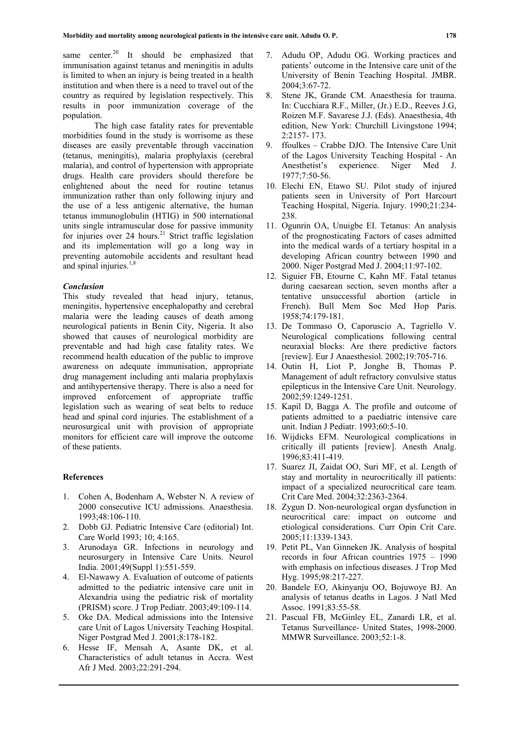same center.<sup>20</sup> It should be emphasized that immunisation against tetanus and meningitis in adults is limited to when an injury is being treated in a health institution and when there is a need to travel out of the country as required by legislation respectively. This results in poor immunization coverage of the population.

The high case fatality rates for preventable morbidities found in the study is worrisome as these diseases are easily preventable through vaccination (tetanus, meningitis), malaria prophylaxis (cerebral malaria), and control of hypertension with appropriate drugs. Health care providers should therefore be enlightened about the need for routine tetanus immunization rather than only following injury and the use of a less antigenic alternative, the human tetanus immunoglobulin (HTIG) in 500 international units single intramuscular dose for passive immunity for injuries over  $24$  hours.<sup>21</sup> Strict traffic legislation and its implementation will go a long way in preventing automobile accidents and resultant head and spinal injuries. $1,8$ 

#### *Conclusion*

This study revealed that head injury, tetanus, meningitis, hypertensive encephalopathy and cerebral malaria were the leading causes of death among neurological patients in Benin City, Nigeria. It also showed that causes of neurological morbidity are preventable and had high case fatality rates. We recommend health education of the public to improve awareness on adequate immunisation, appropriate drug management including anti malaria prophylaxis and antihypertensive therapy. There is also a need for improved enforcement of appropriate traffic legislation such as wearing of seat belts to reduce head and spinal cord injuries. The establishment of a neurosurgical unit with provision of appropriate monitors for efficient care will improve the outcome of these patients.

#### **References**

- 1. Cohen A, Bodenham A, Webster N. A review of 2000 consecutive ICU admissions. Anaesthesia. 1993;48:106-110.
- 2. Dobb GJ. Pediatric Intensive Care (editorial) Int. Care World 1993; 10; 4:165.
- 3. Arunodaya GR. Infections in neurology and neurosurgery in Intensive Care Units. Neurol India. 2001;49(Suppl 1):551-559.
- 4. El-Nawawy A. Evaluation of outcome of patients admitted to the pediatric intensive care unit in Alexandria using the pediatric risk of mortality (PRISM) score. J Trop Pediatr. 2003;49:109-114.
- 5. Oke DA. Medical admissions into the Intensive care Unit of Lagos University Teaching Hospital. Niger Postgrad Med J. 2001;8:178-182.
- 6. Hesse IF, Mensah A, Asante DK, et al. Characteristics of adult tetanus in Accra. West Afr J Med. 2003;22:291-294.
- 7. Adudu OP, Adudu OG. Working practices and patients' outcome in the Intensive care unit of the University of Benin Teaching Hospital. JMBR. 2004;3:67-72.
- 8. Stene JK, Grande CM. Anaesthesia for trauma. In: Cucchiara R.F., Miller, (Jr.) E.D., Reeves J.G, Roizen M.F. Savarese J.J. (Eds). Anaesthesia, 4th edition, New York: Churchill Livingstone 1994; 2:2157- 173.
- 9. ffoulkes Crabbe DJO. The Intensive Care Unit of the Lagos University Teaching Hospital - An Anesthetist's experience. Niger Med J. 1977;7:50-56.
- 10. Elechi EN, Etawo SU. Pilot study of injured patients seen in University of Port Harcourt Teaching Hospital, Nigeria. Injury. 1990;21:234- 238.
- 11. Ogunrin OA, Unuigbe EI. Tetanus: An analysis of the prognosticating Factors of cases admitted into the medical wards of a tertiary hospital in a developing African country between 1990 and 2000. Niger Postgrad Med J. 2004;11:97-102.
- 12. Siguier FB, Etourne C, Kahn MF. Fatal tetanus during caesarean section, seven months after a tentative unsuccessful abortion (article in French). Bull Mem Soc Med Hop Paris. 1958;74:179-181.
- 13. De Tommaso O, Caporuscio A, Tagriello V. Neurological complications following central neuraxial blocks: Are there predictive factors [review]. Eur J Anaesthesiol. 2002;19:705-716.
- 14. Outin H, Liot P, Jonghe B, Thomas P. Management of adult refractory convulsive status epilepticus in the Intensive Care Unit. Neurology. 2002;59:1249-1251.
- 15. Kapil D, Bagga A. The profile and outcome of patients admitted to a paediatric intensive care unit. Indian J Pediatr. 1993;60:5-10.
- 16. Wijdicks EFM. Neurological complications in critically ill patients [review]. Anesth Analg. 1996;83:411-419.
- 17. Suarez JI, Zaidat OO, Suri MF, et al. Length of stay and mortality in neurocritically ill patients: impact of a specialized neurocritical care team. Crit Care Med. 2004;32:2363-2364.
- 18. Zygun D. Non-neurological organ dysfunction in neurocritical care: impact on outcome and etiological considerations. Curr Opin Crit Care. 2005;11:1339-1343.
- 19. Petit PL, Van Ginneken JK. Analysis of hospital records in four African countries 1975 – 1990 with emphasis on infectious diseases. J Trop Med Hyg. 1995;98:217-227.
- 20. Bandele EO, Akinyanju OO, Bojuwoye BJ. An analysis of tetanus deaths in Lagos. J Natl Med Assoc. 1991;83:55-58.
- 21. Pascual FB, McGinley EL, Zanardi LR, et al. Tetanus Surveillance- United States, 1998-2000. MMWR Surveillance. 2003;52:1-8.